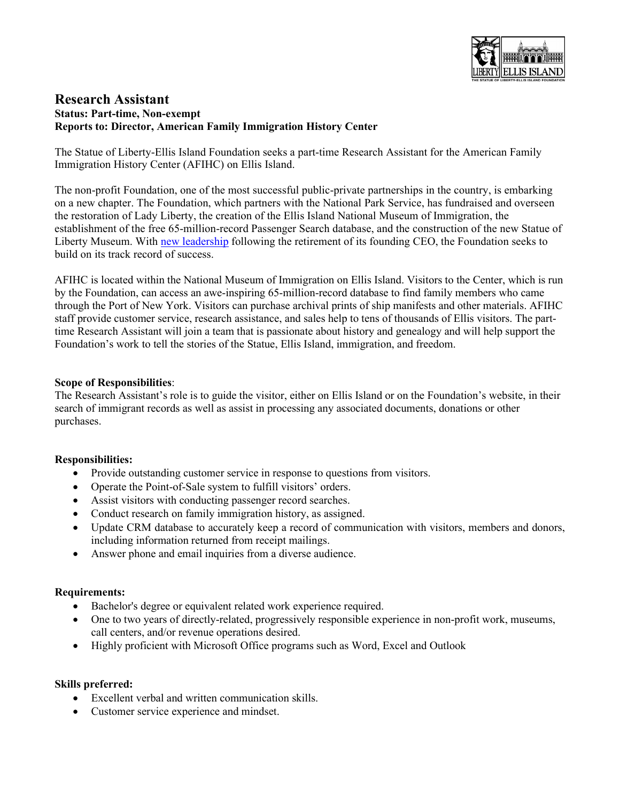

# **Research Assistant Status: Part-time, Non-exempt Reports to: Director, American Family Immigration History Center**

The Statue of Liberty-Ellis Island Foundation seeks a part-time Research Assistant for the American Family Immigration History Center (AFIHC) on Ellis Island.

The non-profit Foundation, one of the most successful public-private partnerships in the country, is embarking on a new chapter. The Foundation, which partners with the National Park Service, has fundraised and overseen the restoration of Lady Liberty, the creation of the Ellis Island National Museum of Immigration, the establishment of the free 65-million-record Passenger Search database, and the construction of the new Statue of Liberty Museum. With [new leadership](https://www.bostonglobe.com/2021/03/26/opinion/gripes-gratitude-greenway/) following the retirement of its founding CEO, the Foundation seeks to build on its track record of success.

AFIHC is located within the National Museum of Immigration on Ellis Island. Visitors to the Center, which is run by the Foundation, can access an awe-inspiring 65-million-record database to find family members who came through the Port of New York. Visitors can purchase archival prints of ship manifests and other materials. AFIHC staff provide customer service, research assistance, and sales help to tens of thousands of Ellis visitors. The parttime Research Assistant will join a team that is passionate about history and genealogy and will help support the Foundation's work to tell the stories of the Statue, Ellis Island, immigration, and freedom.

### **Scope of Responsibilities**:

The Research Assistant's role is to guide the visitor, either on Ellis Island or on the Foundation's website, in their search of immigrant records as well as assist in processing any associated documents, donations or other purchases.

### **Responsibilities:**

- Provide outstanding customer service in response to questions from visitors.
- Operate the Point-of-Sale system to fulfill visitors' orders.
- Assist visitors with conducting passenger record searches.
- Conduct research on family immigration history, as assigned.
- Update CRM database to accurately keep a record of communication with visitors, members and donors, including information returned from receipt mailings.
- Answer phone and email inquiries from a diverse audience.

### **Requirements:**

- Bachelor's degree or equivalent related work experience required.
- One to two years of directly-related, progressively responsible experience in non-profit work, museums, call centers, and/or revenue operations desired.
- Highly proficient with Microsoft Office programs such as Word, Excel and Outlook

#### **Skills preferred:**

- Excellent verbal and written communication skills.
- Customer service experience and mindset.